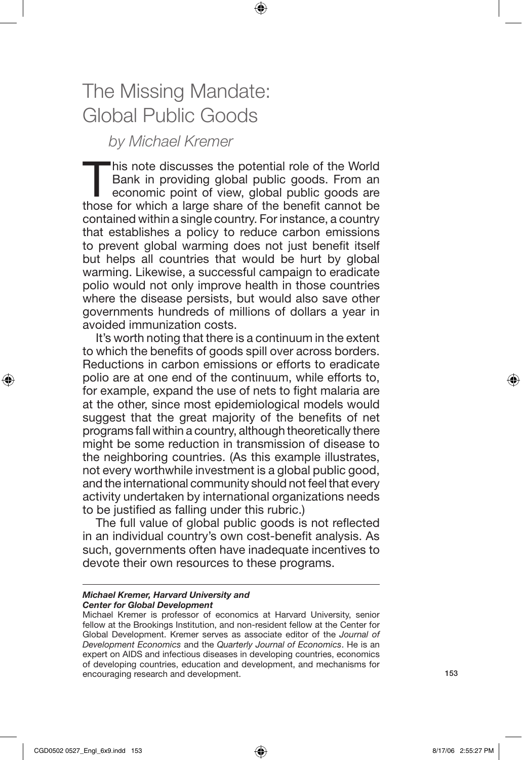# The Missing Mandate: Global Public Goods

## *by Michael Kremer*

"his note discusses the potential role of the World Bank in providing global public goods. From an economic point of view, global public goods are those for which a large share of the benefit cannot be contained within a single country. For instance, a country that establishes a policy to reduce carbon emissions to prevent global warming does not just benefit itself but helps all countries that would be hurt by global warming. Likewise, a successful campaign to eradicate polio would not only improve health in those countries where the disease persists, but would also save other governments hundreds of millions of dollars a year in avoided immunization costs.

It's worth noting that there is a continuum in the extent to which the benefits of goods spill over across borders. Reductions in carbon emissions or efforts to eradicate polio are at one end of the continuum, while efforts to, for example, expand the use of nets to fight malaria are at the other, since most epidemiological models would suggest that the great majority of the benefits of net programs fall within a country, although theoretically there might be some reduction in transmission of disease to the neighboring countries. (As this example illustrates, not every worthwhile investment is a global public good, and the international community should not feel that every activity undertaken by international organizations needs to be justified as falling under this rubric.)

The full value of global public goods is not reflected in an individual country's own cost-benefit analysis. As such, governments often have inadequate incentives to devote their own resources to these programs.

#### *Michael Kremer, Harvard University and Center for Global Development*

Michael Kremer is professor of economics at Harvard University, senior fellow at the Brookings Institution, and non-resident fellow at the Center for Global Development. Kremer serves as associate editor of the *Journal of Development Economics* and the *Quarterly Journal of Economics*. He is an expert on AIDS and infectious diseases in developing countries, economics of developing countries, education and development, and mechanisms for encouraging research and development.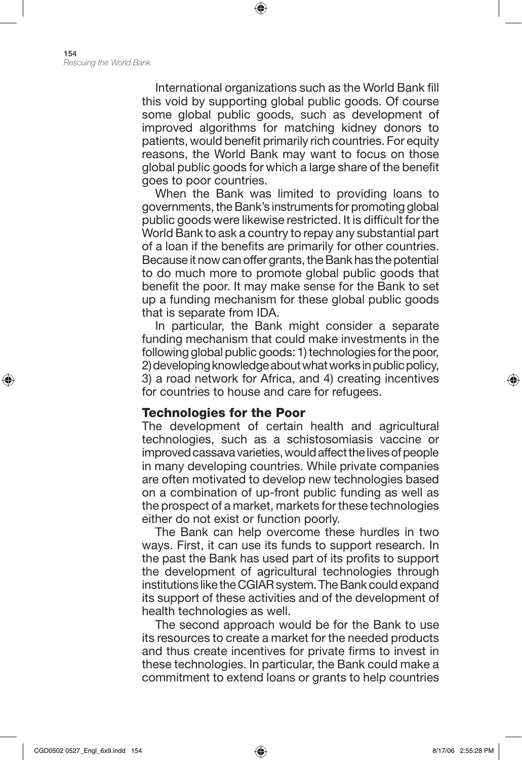International organizations such as the World Bank fill this void by supporting global public goods. Of course some global public goods, such as development of improved algorithms for matching kidney donors to patients, would benefit primarily rich countries. For equity reasons, the World Bank may want to focus on those global public goods for which a large share of the benefit goes to poor countries.

⊕

When the Bank was limited to providing loans to governments, the Bank's instruments for promoting global public goods were likewise restricted. It is difficult for the World Bank to ask a country to repay any substantial part of a loan if the benefits are primarily for other countries. Because it now can offer grants, the Bank has the potential to do much more to promote global public goods that benefit the poor. It may make sense for the Bank to set up a funding mechanism for these global public goods that is separate from IDA.

In particular, the Bank might consider a separate funding mechanism that could make investments in the following global public goods: 1) technologies for the poor, 2) developing knowledge about what works in public policy, 3) a road network for Africa, and 4) creating incentives for countries to house and care for refugees.

#### Technologies for the Poor

The development of certain health and agricultural technologies, such as a schistosomiasis vaccine or improved cassava varieties, would affect the lives of people in many developing countries. While private companies are often motivated to develop new technologies based on a combination of up-front public funding as well as the prospect of a market, markets for these technologies either do not exist or function poorly.

The Bank can help overcome these hurdles in two ways. First, it can use its funds to support research. In the past the Bank has used part of its profits to support the development of agricultural technologies through institutions like the CGIAR system. The Bank could expand its support of these activities and of the development of health technologies as well.

The second approach would be for the Bank to use its resources to create a market for the needed products and thus create incentives for private firms to invest in these technologies. In particular, the Bank could make a commitment to extend loans or grants to help countries

⊕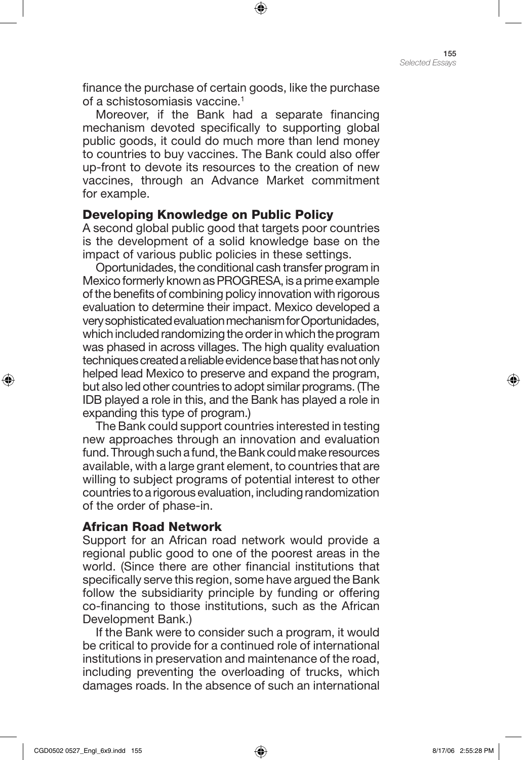finance the purchase of certain goods, like the purchase of a schistosomiasis vaccine.<sup>1</sup>

⊕

Moreover, if the Bank had a separate financing mechanism devoted specifically to supporting global public goods, it could do much more than lend money to countries to buy vaccines. The Bank could also offer up-front to devote its resources to the creation of new vaccines, through an Advance Market commitment for example.

#### Developing Knowledge on Public Policy

A second global public good that targets poor countries is the development of a solid knowledge base on the impact of various public policies in these settings.

Oportunidades, the conditional cash transfer program in Mexico formerly known as PROGRESA, is a prime example of the benefits of combining policy innovation with rigorous evaluation to determine their impact. Mexico developed a very sophisticated evaluation mechanism for Oportunidades, which included randomizing the order in which the program was phased in across villages. The high quality evaluation techniques created a reliable evidence base that has not only helped lead Mexico to preserve and expand the program, but also led other countries to adopt similar programs. (The IDB played a role in this, and the Bank has played a role in expanding this type of program.)

The Bank could support countries interested in testing new approaches through an innovation and evaluation fund. Through such a fund, the Bank could make resources available, with a large grant element, to countries that are willing to subject programs of potential interest to other countries to a rigorous evaluation, including randomization of the order of phase-in.

### African Road Network

Support for an African road network would provide a regional public good to one of the poorest areas in the world. (Since there are other financial institutions that specifically serve this region, some have argued the Bank follow the subsidiarity principle by funding or offering co-financing to those institutions, such as the African Development Bank.)

If the Bank were to consider such a program, it would be critical to provide for a continued role of international institutions in preservation and maintenance of the road, including preventing the overloading of trucks, which damages roads. In the absence of such an international

⊕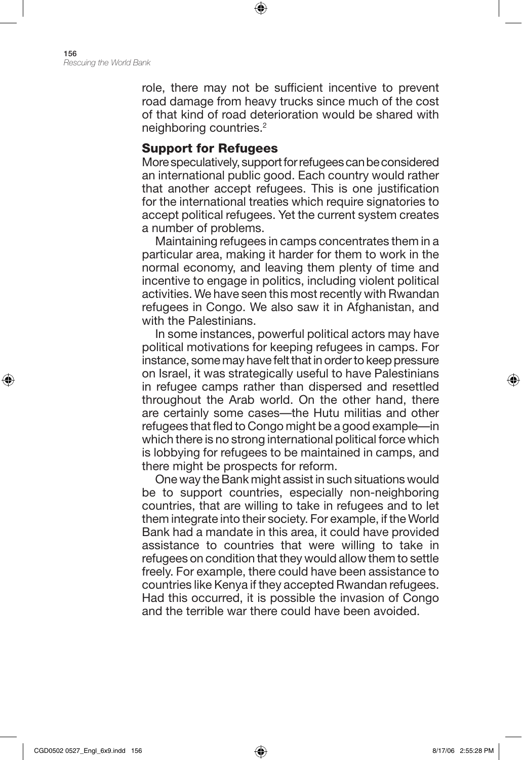156 *Rescuing the World Bank*

> role, there may not be sufficient incentive to prevent road damage from heavy trucks since much of the cost of that kind of road deterioration would be shared with neighboring countries.2

⊕

#### Support for Refugees

More speculatively, support for refugees can be considered an international public good. Each country would rather that another accept refugees. This is one justification for the international treaties which require signatories to accept political refugees. Yet the current system creates a number of problems.

Maintaining refugees in camps concentrates them in a particular area, making it harder for them to work in the normal economy, and leaving them plenty of time and incentive to engage in politics, including violent political activities. We have seen this most recently with Rwandan refugees in Congo. We also saw it in Afghanistan, and with the Palestinians.

In some instances, powerful political actors may have political motivations for keeping refugees in camps. For instance, some may have felt that in order to keep pressure on Israel, it was strategically useful to have Palestinians in refugee camps rather than dispersed and resettled throughout the Arab world. On the other hand, there are certainly some cases—the Hutu militias and other refugees that fled to Congo might be a good example—in which there is no strong international political force which is lobbying for refugees to be maintained in camps, and there might be prospects for reform.

One way the Bank might assist in such situations would be to support countries, especially non-neighboring countries, that are willing to take in refugees and to let them integrate into their society. For example, if the World Bank had a mandate in this area, it could have provided assistance to countries that were willing to take in refugees on condition that they would allow them to settle freely. For example, there could have been assistance to countries like Kenya if they accepted Rwandan refugees. Had this occurred, it is possible the invasion of Congo and the terrible war there could have been avoided.

⊕